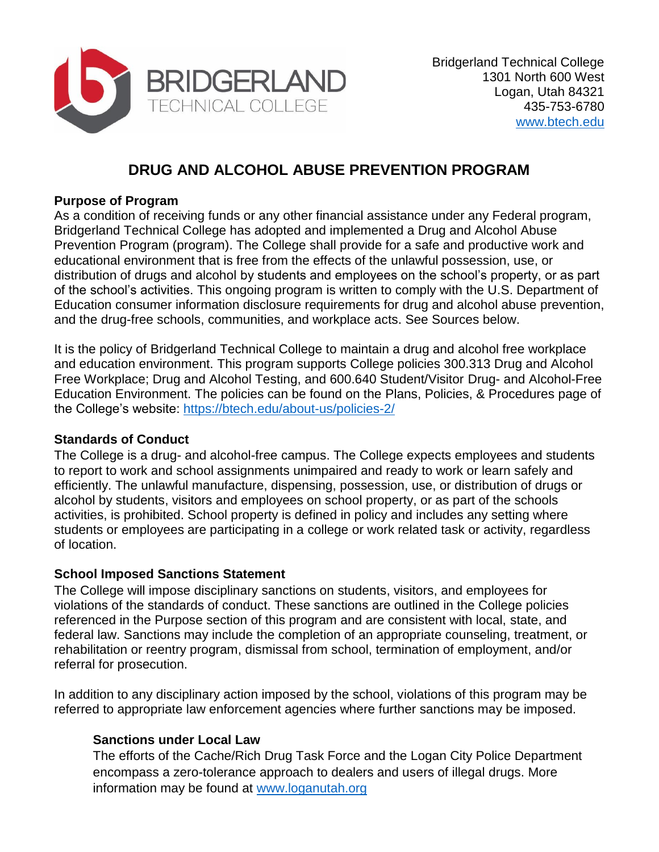

# **DRUG AND ALCOHOL ABUSE PREVENTION PROGRAM**

#### **Purpose of Program**

As a condition of receiving funds or any other financial assistance under any Federal program, Bridgerland Technical College has adopted and implemented a Drug and Alcohol Abuse Prevention Program (program). The College shall provide for a safe and productive work and educational environment that is free from the effects of the unlawful possession, use, or distribution of drugs and alcohol by students and employees on the school's property, or as part of the school's activities. This ongoing program is written to comply with the U.S. Department of Education consumer information disclosure requirements for drug and alcohol abuse prevention, and the drug-free schools, communities, and workplace acts. See Sources below.

It is the policy of Bridgerland Technical College to maintain a drug and alcohol free workplace and education environment. This program supports College policies 300.313 Drug and Alcohol Free Workplace; Drug and Alcohol Testing, and 600.640 Student/Visitor Drug- and Alcohol-Free Education Environment. The policies can be found on the Plans, Policies, & Procedures page of the College's website:<https://btech.edu/about-us/policies-2/>

### **Standards of Conduct**

The College is a drug- and alcohol-free campus. The College expects employees and students to report to work and school assignments unimpaired and ready to work or learn safely and efficiently. The unlawful manufacture, dispensing, possession, use, or distribution of drugs or alcohol by students, visitors and employees on school property, or as part of the schools activities, is prohibited. School property is defined in policy and includes any setting where students or employees are participating in a college or work related task or activity, regardless of location.

### **School Imposed Sanctions Statement**

The College will impose disciplinary sanctions on students, visitors, and employees for violations of the standards of conduct. These sanctions are outlined in the College policies referenced in the Purpose section of this program and are consistent with local, state, and federal law. Sanctions may include the completion of an appropriate counseling, treatment, or rehabilitation or reentry program, dismissal from school, termination of employment, and/or referral for prosecution.

In addition to any disciplinary action imposed by the school, violations of this program may be referred to appropriate law enforcement agencies where further sanctions may be imposed.

### **Sanctions under Local Law**

The efforts of the Cache/Rich Drug Task Force and the Logan City Police Department encompass a zero-tolerance approach to dealers and users of illegal drugs. More information may be found at [www.loganutah.org](http://www.loganutah.org/)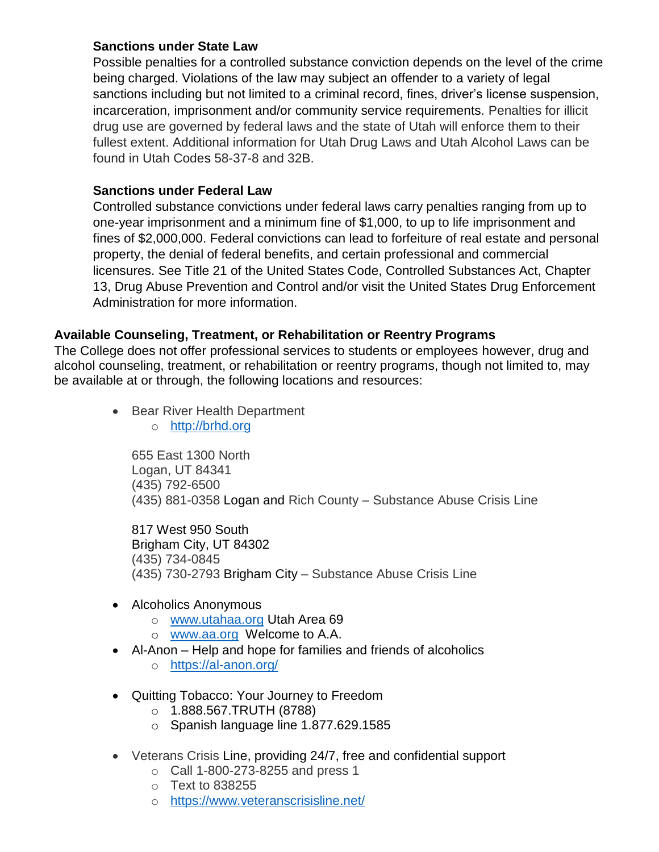#### **Sanctions under State Law**

Possible penalties for a controlled substance conviction depends on the level of the crime being charged. Violations of the law may subject an offender to a variety of legal sanctions including but not limited to a criminal record, fines, driver's license suspension, incarceration, imprisonment and/or community service requirements. Penalties for illicit drug use are governed by federal laws and the state of Utah will enforce them to their fullest extent. Additional information for Utah Drug Laws and Utah Alcohol Laws can be found in Utah Codes 58-37-8 and 32B.

## **Sanctions under Federal Law**

Controlled substance convictions under federal laws carry penalties ranging from up to one-year imprisonment and a minimum fine of \$1,000, to up to life imprisonment and fines of \$2,000,000. Federal convictions can lead to forfeiture of real estate and personal property, the denial of federal benefits, and certain professional and commercial licensures. See Title 21 of the United States Code, Controlled Substances Act, Chapter 13, Drug Abuse Prevention and Control and/or visit the United States Drug Enforcement Administration for more information.

## **Available Counseling, Treatment, or Rehabilitation or Reentry Programs**

The College does not offer professional services to students or employees however, drug and alcohol counseling, treatment, or rehabilitation or reentry programs, though not limited to, may be available at or through, the following locations and resources:

- Bear River Health Department
	- o [http://brhd.org](http://brhd.org/)

655 East 1300 North Logan, UT 84341 (435) 792-6500 (435) 881-0358 Logan and Rich County – Substance Abuse Crisis Line

817 West 950 South Brigham City, UT 84302 (435) 734-0845 (435) 730-2793 Brigham City – Substance Abuse Crisis Line

- Alcoholics Anonymous
	- o [www.utahaa.org](http://www.utahaa.org/) Utah Area 69
	- o [www.aa.org](http://www.aa.org/) Welcome to A.A.
- Al-Anon Help and hope for families and friends of alcoholics
	- o <https://al-anon.org/>
- Quitting Tobacco: Your Journey to Freedom
	- $O$  1.888.567.TRUTH (8788)
	- o Spanish language line 1.877.629.1585
- Veterans Crisis Line, providing 24/7, free and confidential support
	- o Call 1-800-273-8255 and press 1
	- o Text to 838255
	- o <https://www.veteranscrisisline.net/>